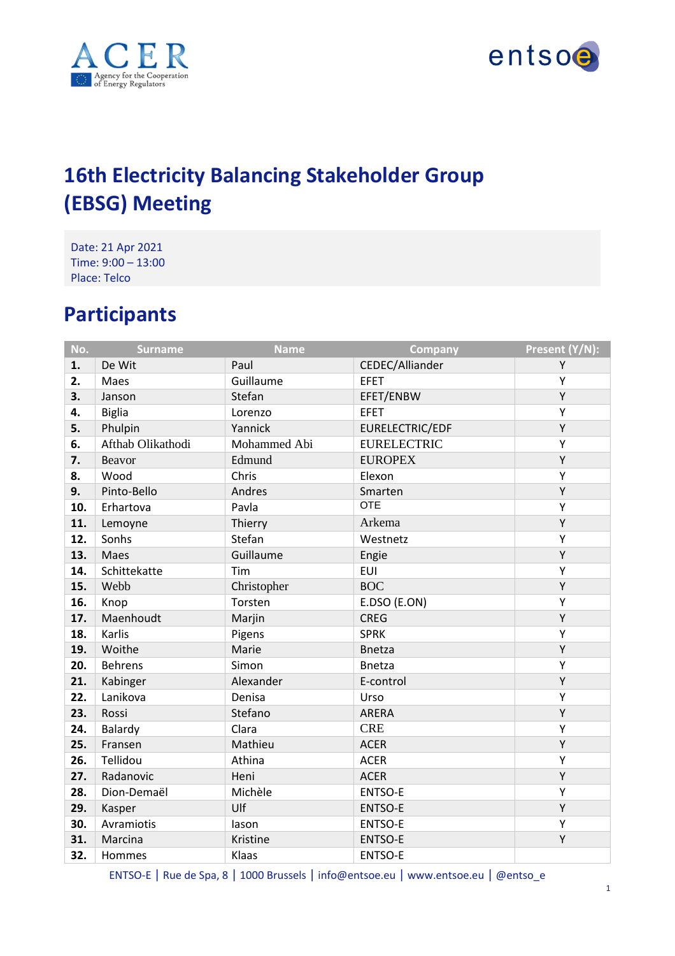



# **16th Electricity Balancing Stakeholder Group (EBSG) Meeting**

Date: 21 Apr 2021 Time: 9:00 – 13:00 Place: Telco

## **Participants**

| No. | <b>Surname</b>    | <b>Name</b>  | <b>Company</b>     | Present (Y/N): |
|-----|-------------------|--------------|--------------------|----------------|
| 1.  | De Wit            | Paul         | CEDEC/Alliander    | Υ              |
| 2.  | Maes              | Guillaume    | <b>EFET</b>        | Υ              |
| 3.  | Janson            | Stefan       | EFET/ENBW          | Υ              |
| 4.  | <b>Biglia</b>     | Lorenzo      | <b>EFET</b>        | Υ              |
| 5.  | Phulpin           | Yannick      | EURELECTRIC/EDF    | Υ              |
| 6.  | Afthab Olikathodi | Mohammed Abi | <b>EURELECTRIC</b> | Y              |
| 7.  | Beavor            | Edmund       | <b>EUROPEX</b>     | Υ              |
| 8.  | Wood              | Chris        | Elexon             | Υ              |
| 9.  | Pinto-Bello       | Andres       | Smarten            | Υ              |
| 10. | Erhartova         | Pavla        | <b>OTE</b>         | Υ              |
| 11. | Lemoyne           | Thierry      | Arkema             | Υ              |
| 12. | Sonhs             | Stefan       | Westnetz           | Υ              |
| 13. | Maes              | Guillaume    | Engie              | Υ              |
| 14. | Schittekatte      | Tim          | <b>EUI</b>         | Υ              |
| 15. | Webb              | Christopher  | <b>BOC</b>         | Υ              |
| 16. | Knop              | Torsten      | E.DSO (E.ON)       | Υ              |
| 17. | Maenhoudt         | Marjin       | <b>CREG</b>        | Υ              |
| 18. | Karlis            | Pigens       | <b>SPRK</b>        | Υ              |
| 19. | Woithe            | Marie        | <b>Bnetza</b>      | Υ              |
| 20. | <b>Behrens</b>    | Simon        | <b>Bnetza</b>      | Υ              |
| 21. | Kabinger          | Alexander    | E-control          | Υ              |
| 22. | Lanikova          | Denisa       | Urso               | Υ              |
| 23. | Rossi             | Stefano      | <b>ARERA</b>       | Υ              |
| 24. | Balardy           | Clara        | <b>CRE</b>         | Υ              |
| 25. | Fransen           | Mathieu      | <b>ACER</b>        | Υ              |
| 26. | Tellidou          | Athina       | <b>ACER</b>        | Υ              |
| 27. | Radanovic         | Heni         | <b>ACER</b>        | Υ              |
| 28. | Dion-Demaël       | Michèle      | <b>ENTSO-E</b>     | Υ              |
| 29. | Kasper            | Ulf          | <b>ENTSO-E</b>     | Υ              |
| 30. | Avramiotis        | lason        | ENTSO-E            | Υ              |
| 31. | Marcina           | Kristine     | <b>ENTSO-E</b>     | Υ              |
| 32. | Hommes            | Klaas        | <b>ENTSO-E</b>     |                |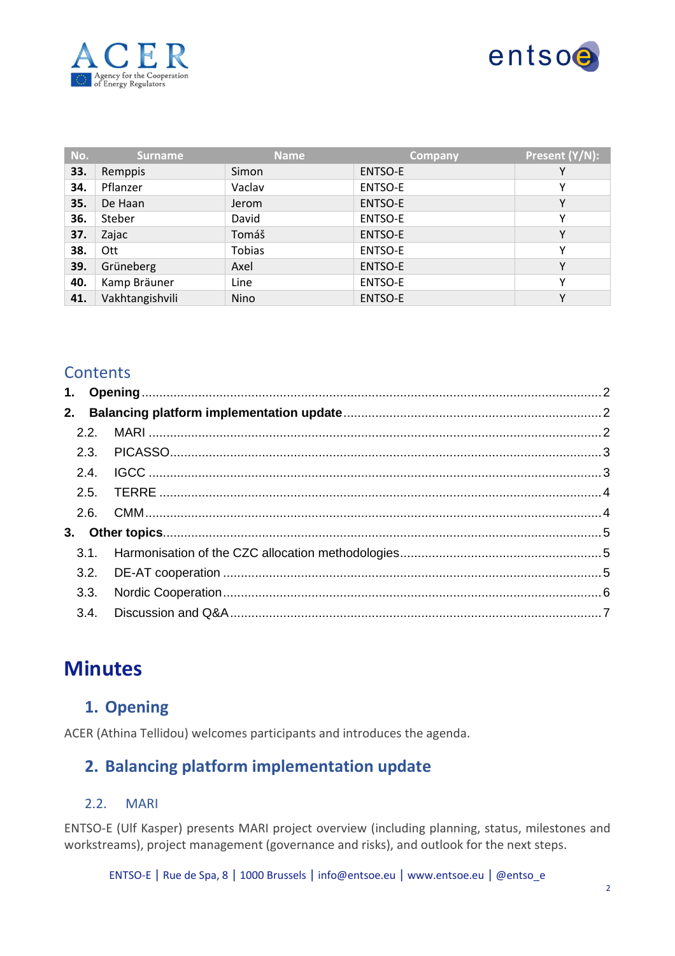



| No. | <b>Surname</b>  | <b>Name</b>   | Company | Present (Y/N): |
|-----|-----------------|---------------|---------|----------------|
| 33. | Remppis         | Simon         | ENTSO-E | Υ              |
| 34. | Pflanzer        | Vaclav        | ENTSO-E | Υ              |
| 35. | De Haan         | <b>Jerom</b>  | ENTSO-E | Υ              |
| 36. | Steber          | David         | ENTSO-E | v              |
| 37. | Zajac           | Tomáš         | ENTSO-E | Υ              |
| 38. | Ott             | <b>Tobias</b> | ENTSO-E | ٧              |
| 39. | Grüneberg       | Axel          | ENTSO-E | Υ              |
| 40. | Kamp Bräuner    | Line          | ENTSO-E | γ              |
| 41. | Vakhtangishvili | Nino          | ENTSO-E | Υ              |

### **Contents**

| 2.2. |  |
|------|--|
|      |  |
|      |  |
|      |  |
|      |  |
|      |  |
|      |  |
|      |  |
|      |  |
|      |  |

## **Minutes**

### <span id="page-1-0"></span>**1. Opening**

<span id="page-1-1"></span>ACER (Athina Tellidou) welcomes participants and introduces the agenda.

## **2. Balancing platform implementation update**

#### <span id="page-1-2"></span>2.2. MARI

ENTSO-E (Ulf Kasper) presents MARI project overview (including planning, status, milestones and workstreams), project management (governance and risks), and outlook for the next steps.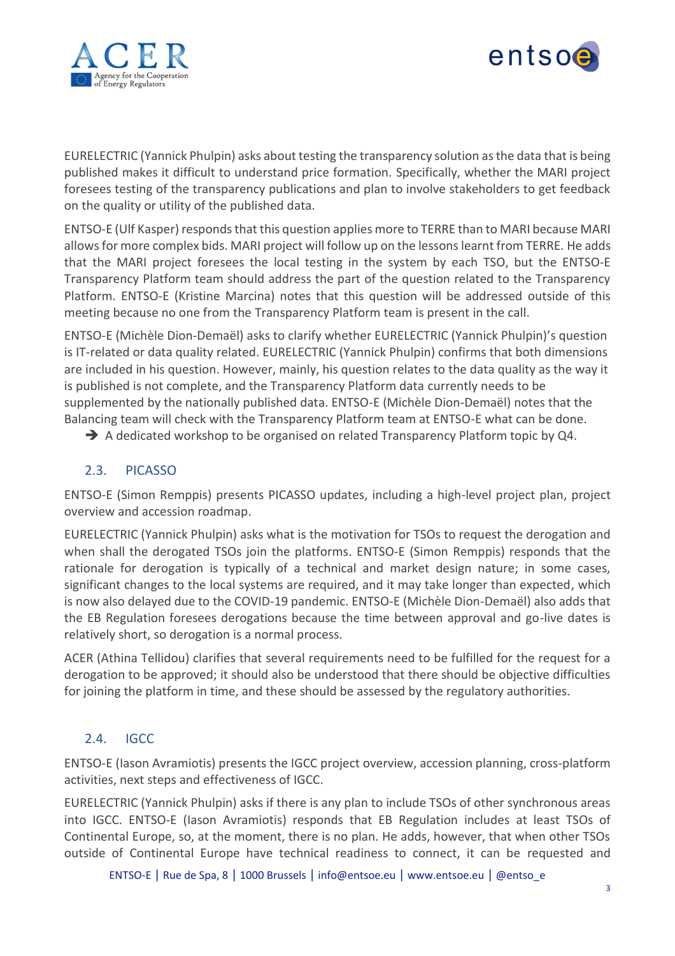



EURELECTRIC (Yannick Phulpin) asks about testing the transparency solution as the data that is being published makes it difficult to understand price formation. Specifically, whether the MARI project foresees testing of the transparency publications and plan to involve stakeholders to get feedback on the quality or utility of the published data.

ENTSO-E (Ulf Kasper) responds that this question applies more to TERRE than to MARI because MARI allows for more complex bids. MARI project will follow up on the lessons learnt from TERRE. He adds that the MARI project foresees the local testing in the system by each TSO, but the ENTSO-E Transparency Platform team should address the part of the question related to the Transparency Platform. ENTSO-E (Kristine Marcina) notes that this question will be addressed outside of this meeting because no one from the Transparency Platform team is present in the call.

ENTSO-E (Michèle Dion-Demaël) asks to clarify whether EURELECTRIC (Yannick Phulpin)'s question is IT-related or data quality related. EURELECTRIC (Yannick Phulpin) confirms that both dimensions are included in his question. However, mainly, his question relates to the data quality as the way it is published is not complete, and the Transparency Platform data currently needs to be supplemented by the nationally published data. ENTSO-E (Michèle Dion-Demaël) notes that the Balancing team will check with the Transparency Platform team at ENTSO-E what can be done.

→ A dedicated workshop to be organised on related Transparency Platform topic by Q4.

#### <span id="page-2-0"></span>2.3. PICASSO

ENTSO-E (Simon Remppis) presents PICASSO updates, including a high-level project plan, project overview and accession roadmap.

EURELECTRIC (Yannick Phulpin) asks what is the motivation for TSOs to request the derogation and when shall the derogated TSOs join the platforms. ENTSO-E (Simon Remppis) responds that the rationale for derogation is typically of a technical and market design nature; in some cases, significant changes to the local systems are required, and it may take longer than expected, which is now also delayed due to the COVID-19 pandemic. ENTSO-E (Michèle Dion-Demaël) also adds that the EB Regulation foresees derogations because the time between approval and go-live dates is relatively short, so derogation is a normal process.

ACER (Athina Tellidou) clarifies that several requirements need to be fulfilled for the request for a derogation to be approved; it should also be understood that there should be objective difficulties for joining the platform in time, and these should be assessed by the regulatory authorities.

#### <span id="page-2-1"></span>2.4. IGCC

ENTSO-E (Iason Avramiotis) presents the IGCC project overview, accession planning, cross-platform activities, next steps and effectiveness of IGCC.

EURELECTRIC (Yannick Phulpin) asks if there is any plan to include TSOs of other synchronous areas into IGCC. ENTSO-E (Iason Avramiotis) responds that EB Regulation includes at least TSOs of Continental Europe, so, at the moment, there is no plan. He adds, however, that when other TSOs outside of Continental Europe have technical readiness to connect, it can be requested and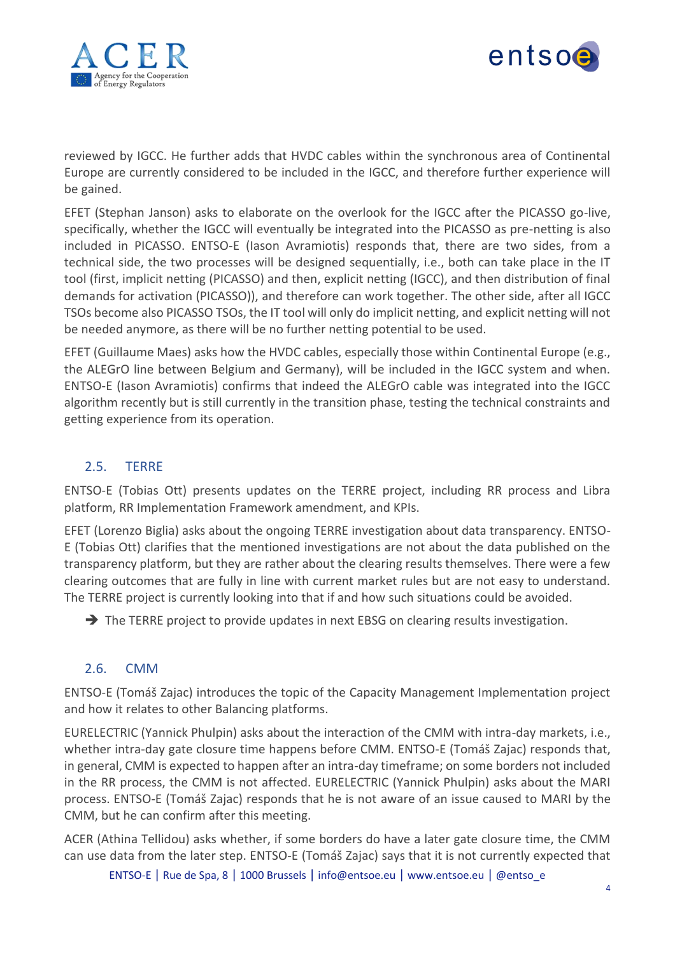



reviewed by IGCC. He further adds that HVDC cables within the synchronous area of Continental Europe are currently considered to be included in the IGCC, and therefore further experience will be gained.

EFET (Stephan Janson) asks to elaborate on the overlook for the IGCC after the PICASSO go-live, specifically, whether the IGCC will eventually be integrated into the PICASSO as pre-netting is also included in PICASSO. ENTSO-E (Iason Avramiotis) responds that, there are two sides, from a technical side, the two processes will be designed sequentially, i.e., both can take place in the IT tool (first, implicit netting (PICASSO) and then, explicit netting (IGCC), and then distribution of final demands for activation (PICASSO)), and therefore can work together. The other side, after all IGCC TSOs become also PICASSO TSOs, the IT tool will only do implicit netting, and explicit netting will not be needed anymore, as there will be no further netting potential to be used.

EFET (Guillaume Maes) asks how the HVDC cables, especially those within Continental Europe (e.g., the ALEGrO line between Belgium and Germany), will be included in the IGCC system and when. ENTSO-E (Iason Avramiotis) confirms that indeed the ALEGrO cable was integrated into the IGCC algorithm recently but is still currently in the transition phase, testing the technical constraints and getting experience from its operation.

#### <span id="page-3-0"></span>2.5. TERRE

ENTSO-E (Tobias Ott) presents updates on the TERRE project, including RR process and Libra platform, RR Implementation Framework amendment, and KPIs.

EFET (Lorenzo Biglia) asks about the ongoing TERRE investigation about data transparency. ENTSO-E (Tobias Ott) clarifies that the mentioned investigations are not about the data published on the transparency platform, but they are rather about the clearing results themselves. There were a few clearing outcomes that are fully in line with current market rules but are not easy to understand. The TERRE project is currently looking into that if and how such situations could be avoided.

→ The TERRE project to provide updates in next EBSG on clearing results investigation.

#### <span id="page-3-1"></span>2.6. CMM

ENTSO-E (Tomáš Zajac) introduces the topic of the Capacity Management Implementation project and how it relates to other Balancing platforms.

EURELECTRIC (Yannick Phulpin) asks about the interaction of the CMM with intra-day markets, i.e., whether intra-day gate closure time happens before CMM. ENTSO-E (Tomáš Zajac) responds that, in general, CMM is expected to happen after an intra-day timeframe; on some borders not included in the RR process, the CMM is not affected. EURELECTRIC (Yannick Phulpin) asks about the MARI process. ENTSO-E (Tomáš Zajac) responds that he is not aware of an issue caused to MARI by the CMM, but he can confirm after this meeting.

ACER (Athina Tellidou) asks whether, if some borders do have a later gate closure time, the CMM can use data from the later step. ENTSO-E (Tomáš Zajac) says that it is not currently expected that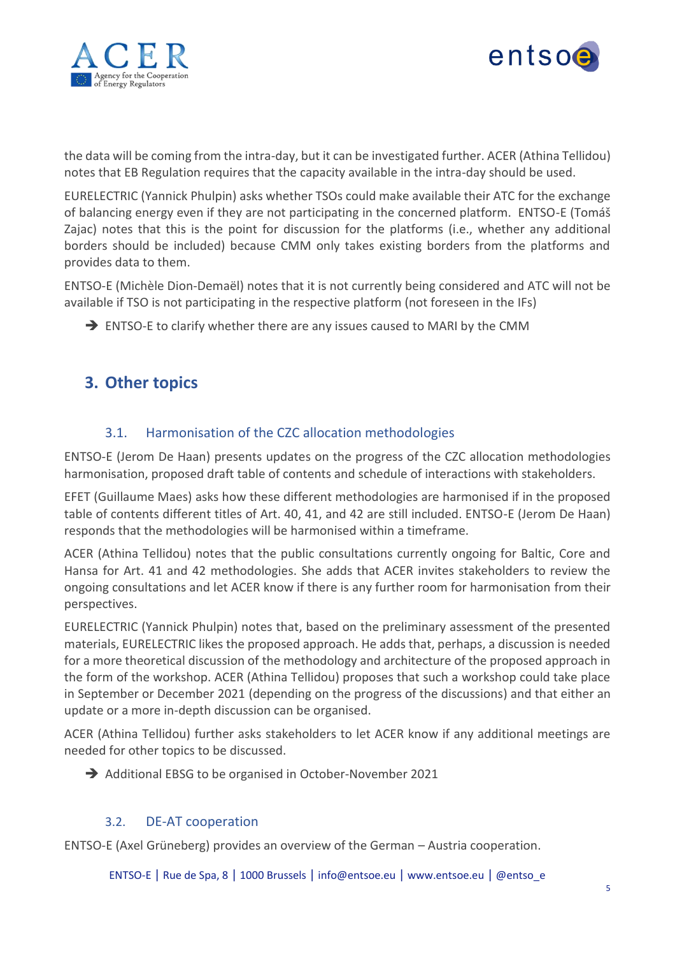



the data will be coming from the intra-day, but it can be investigated further. ACER (Athina Tellidou) notes that EB Regulation requires that the capacity available in the intra-day should be used.

EURELECTRIC (Yannick Phulpin) asks whether TSOs could make available their ATC for the exchange of balancing energy even if they are not participating in the concerned platform. ENTSO-E (Tomáš Zajac) notes that this is the point for discussion for the platforms (i.e., whether any additional borders should be included) because CMM only takes existing borders from the platforms and provides data to them.

ENTSO-E (Michèle Dion-Demaël) notes that it is not currently being considered and ATC will not be available if TSO is not participating in the respective platform (not foreseen in the IFs)

➔ ENTSO-E to clarify whether there are any issues caused to MARI by the CMM

## <span id="page-4-0"></span>**3. Other topics**

#### 3.1. Harmonisation of the CZC allocation methodologies

<span id="page-4-1"></span>ENTSO-E (Jerom De Haan) presents updates on the progress of the CZC allocation methodologies harmonisation, proposed draft table of contents and schedule of interactions with stakeholders.

EFET (Guillaume Maes) asks how these different methodologies are harmonised if in the proposed table of contents different titles of Art. 40, 41, and 42 are still included. ENTSO-E (Jerom De Haan) responds that the methodologies will be harmonised within a timeframe.

ACER (Athina Tellidou) notes that the public consultations currently ongoing for Baltic, Core and Hansa for Art. 41 and 42 methodologies. She adds that ACER invites stakeholders to review the ongoing consultations and let ACER know if there is any further room for harmonisation from their perspectives.

EURELECTRIC (Yannick Phulpin) notes that, based on the preliminary assessment of the presented materials, EURELECTRIC likes the proposed approach. He adds that, perhaps, a discussion is needed for a more theoretical discussion of the methodology and architecture of the proposed approach in the form of the workshop. ACER (Athina Tellidou) proposes that such a workshop could take place in September or December 2021 (depending on the progress of the discussions) and that either an update or a more in-depth discussion can be organised.

ACER (Athina Tellidou) further asks stakeholders to let ACER know if any additional meetings are needed for other topics to be discussed.

➔ Additional EBSG to be organised in October-November 2021

#### 3.2. DE-AT cooperation

<span id="page-4-2"></span>ENTSO-E (Axel Grüneberg) provides an overview of the German – Austria cooperation.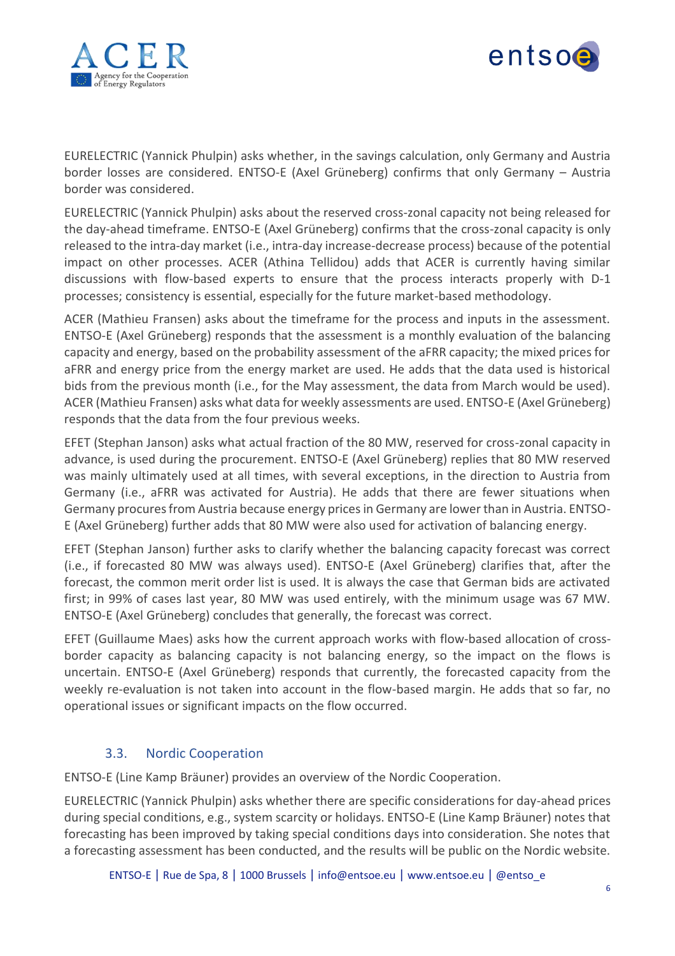



EURELECTRIC (Yannick Phulpin) asks whether, in the savings calculation, only Germany and Austria border losses are considered. ENTSO-E (Axel Grüneberg) confirms that only Germany – Austria border was considered.

EURELECTRIC (Yannick Phulpin) asks about the reserved cross-zonal capacity not being released for the day-ahead timeframe. ENTSO-E (Axel Grüneberg) confirms that the cross-zonal capacity is only released to the intra-day market (i.e., intra-day increase-decrease process) because of the potential impact on other processes. ACER (Athina Tellidou) adds that ACER is currently having similar discussions with flow-based experts to ensure that the process interacts properly with D-1 processes; consistency is essential, especially for the future market-based methodology.

ACER (Mathieu Fransen) asks about the timeframe for the process and inputs in the assessment. ENTSO-E (Axel Grüneberg) responds that the assessment is a monthly evaluation of the balancing capacity and energy, based on the probability assessment of the aFRR capacity; the mixed prices for aFRR and energy price from the energy market are used. He adds that the data used is historical bids from the previous month (i.e., for the May assessment, the data from March would be used). ACER (Mathieu Fransen) asks what data for weekly assessments are used. ENTSO-E (Axel Grüneberg) responds that the data from the four previous weeks.

EFET (Stephan Janson) asks what actual fraction of the 80 MW, reserved for cross-zonal capacity in advance, is used during the procurement. ENTSO-E (Axel Grüneberg) replies that 80 MW reserved was mainly ultimately used at all times, with several exceptions, in the direction to Austria from Germany (i.e., aFRR was activated for Austria). He adds that there are fewer situations when Germany procures from Austria because energy prices in Germany are lower than in Austria. ENTSO-E (Axel Grüneberg) further adds that 80 MW were also used for activation of balancing energy.

EFET (Stephan Janson) further asks to clarify whether the balancing capacity forecast was correct (i.e., if forecasted 80 MW was always used). ENTSO-E (Axel Grüneberg) clarifies that, after the forecast, the common merit order list is used. It is always the case that German bids are activated first; in 99% of cases last year, 80 MW was used entirely, with the minimum usage was 67 MW. ENTSO-E (Axel Grüneberg) concludes that generally, the forecast was correct.

EFET (Guillaume Maes) asks how the current approach works with flow-based allocation of crossborder capacity as balancing capacity is not balancing energy, so the impact on the flows is uncertain. ENTSO-E (Axel Grüneberg) responds that currently, the forecasted capacity from the weekly re-evaluation is not taken into account in the flow-based margin. He adds that so far, no operational issues or significant impacts on the flow occurred.

#### 3.3. Nordic Cooperation

<span id="page-5-0"></span>ENTSO-E (Line Kamp Bräuner) provides an overview of the Nordic Cooperation.

EURELECTRIC (Yannick Phulpin) asks whether there are specific considerations for day-ahead prices during special conditions, e.g., system scarcity or holidays. ENTSO-E (Line Kamp Bräuner) notes that forecasting has been improved by taking special conditions days into consideration. She notes that a forecasting assessment has been conducted, and the results will be public on the Nordic website.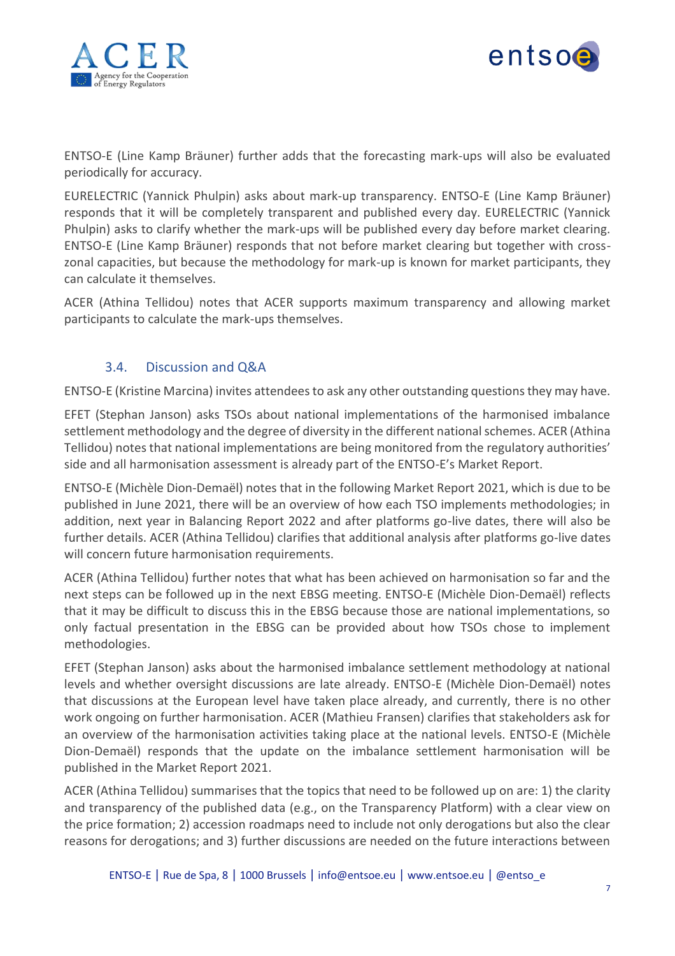



ENTSO-E (Line Kamp Bräuner) further adds that the forecasting mark-ups will also be evaluated periodically for accuracy.

EURELECTRIC (Yannick Phulpin) asks about mark-up transparency. ENTSO-E (Line Kamp Bräuner) responds that it will be completely transparent and published every day. EURELECTRIC (Yannick Phulpin) asks to clarify whether the mark-ups will be published every day before market clearing. ENTSO-E (Line Kamp Bräuner) responds that not before market clearing but together with crosszonal capacities, but because the methodology for mark-up is known for market participants, they can calculate it themselves.

ACER (Athina Tellidou) notes that ACER supports maximum transparency and allowing market participants to calculate the mark-ups themselves.

#### 3.4. Discussion and Q&A

<span id="page-6-0"></span>ENTSO-E (Kristine Marcina) invites attendees to ask any other outstanding questions they may have.

EFET (Stephan Janson) asks TSOs about national implementations of the harmonised imbalance settlement methodology and the degree of diversity in the different national schemes. ACER (Athina Tellidou) notes that national implementations are being monitored from the regulatory authorities' side and all harmonisation assessment is already part of the ENTSO-E's Market Report.

ENTSO-E (Michèle Dion-Demaël) notes that in the following Market Report 2021, which is due to be published in June 2021, there will be an overview of how each TSO implements methodologies; in addition, next year in Balancing Report 2022 and after platforms go-live dates, there will also be further details. ACER (Athina Tellidou) clarifies that additional analysis after platforms go-live dates will concern future harmonisation requirements.

ACER (Athina Tellidou) further notes that what has been achieved on harmonisation so far and the next steps can be followed up in the next EBSG meeting. ENTSO-E (Michèle Dion-Demaël) reflects that it may be difficult to discuss this in the EBSG because those are national implementations, so only factual presentation in the EBSG can be provided about how TSOs chose to implement methodologies.

EFET (Stephan Janson) asks about the harmonised imbalance settlement methodology at national levels and whether oversight discussions are late already. ENTSO-E (Michèle Dion-Demaël) notes that discussions at the European level have taken place already, and currently, there is no other work ongoing on further harmonisation. ACER (Mathieu Fransen) clarifies that stakeholders ask for an overview of the harmonisation activities taking place at the national levels. ENTSO-E (Michèle Dion-Demaël) responds that the update on the imbalance settlement harmonisation will be published in the Market Report 2021.

ACER (Athina Tellidou) summarises that the topics that need to be followed up on are: 1) the clarity and transparency of the published data (e.g., on the Transparency Platform) with a clear view on the price formation; 2) accession roadmaps need to include not only derogations but also the clear reasons for derogations; and 3) further discussions are needed on the future interactions between